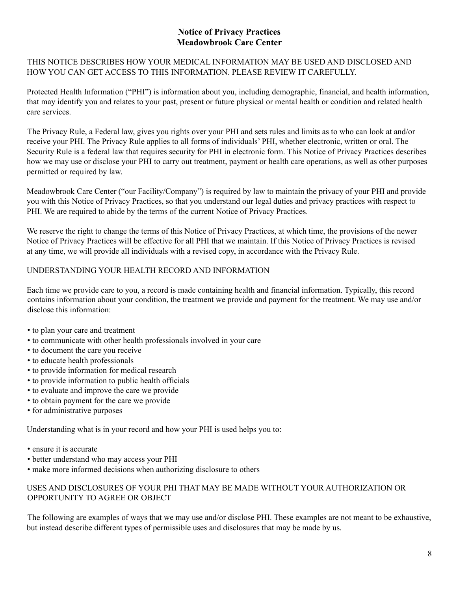# **Notice of Privacy Practices Meadowbrook Care Center**

THIS NOTICE DESCRIBES HOW YOUR MEDICAL INFORMATION MAY BE USED AND DISCLOSED AND HOW YOU CAN GET ACCESS TO THIS INFORMATION. PLEASE REVIEW IT CAREFULLY.

Protected Health Information ("PHI") is information about you, including demographic, financial, and health information, that may identify you and relates to your past, present or future physical or mental health or condition and related health care services.

The Privacy Rule, a Federal law, gives you rights over your PHI and sets rules and limits as to who can look at and/or receive your PHI. The Privacy Rule applies to all forms of individuals' PHI, whether electronic, written or oral. The Security Rule is a federal law that requires security for PHI in electronic form. This Notice of Privacy Practices describes how we may use or disclose your PHI to carry out treatment, payment or health care operations, as well as other purposes permitted or required by law.

Meadowbrook Care Center ("our Facility/Company") is required by law to maintain the privacy of your PHI and provide you with this Notice of Privacy Practices, so that you understand our legal duties and privacy practices with respect to PHI. We are required to abide by the terms of the current Notice of Privacy Practices.

We reserve the right to change the terms of this Notice of Privacy Practices, at which time, the provisions of the newer Notice of Privacy Practices will be effective for all PHI that we maintain. If this Notice of Privacy Practices is revised at any time, we will provide all individuals with a revised copy, in accordance with the Privacy Rule.

## UNDERSTANDING YOUR HEALTH RECORD AND INFORMATION

Each time we provide care to you, a record is made containing health and financial information. Typically, this record contains information about your condition, the treatment we provide and payment for the treatment. We may use and/or disclose this information:

- to plan your care and treatment
- to communicate with other health professionals involved in your care
- to document the care you receive
- to educate health professionals
- to provide information for medical research
- to provide information to public health officials
- to evaluate and improve the care we provide
- to obtain payment for the care we provide
- for administrative purposes

Understanding what is in your record and how your PHI is used helps you to:

- ensure it is accurate
- better understand who may access your PHI
- make more informed decisions when authorizing disclosure to others

### USES AND DISCLOSURES OF YOUR PHI THAT MAY BE MADE WITHOUT YOUR AUTHORIZATION OR OPPORTUNITY TO AGREE OR OBJECT

The following are examples of ways that we may use and/or disclose PHI. These examples are not meant to be exhaustive, but instead describe different types of permissible uses and disclosures that may be made by us.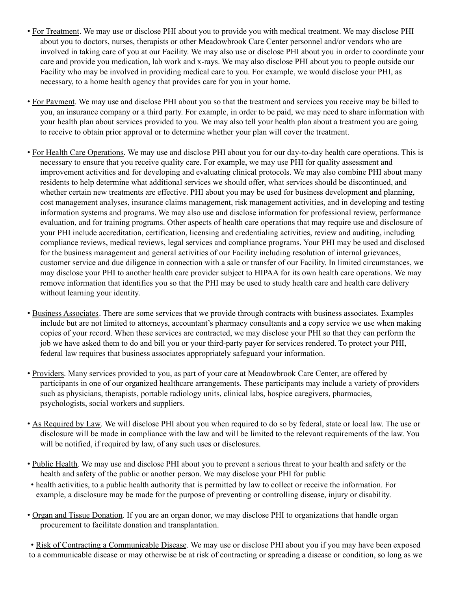- For Treatment. We may use or disclose PHI about you to provide you with medical treatment. We may disclose PHI about you to doctors, nurses, therapists or other Meadowbrook Care Center personnel and/or vendors who are involved in taking care of you at our Facility. We may also use or disclose PHI about you in order to coordinate your care and provide you medication, lab work and x-rays. We may also disclose PHI about you to people outside our Facility who may be involved in providing medical care to you. For example, we would disclose your PHI, as necessary, to a home health agency that provides care for you in your home.
- For Payment. We may use and disclose PHI about you so that the treatment and services you receive may be billed to you, an insurance company or a third party. For example, in order to be paid, we may need to share information with your health plan about services provided to you. We may also tell your health plan about a treatment you are going to receive to obtain prior approval or to determine whether your plan will cover the treatment.
- For Health Care Operations. We may use and disclose PHI about you for our day-to-day health care operations. This is necessary to ensure that you receive quality care. For example, we may use PHI for quality assessment and improvement activities and for developing and evaluating clinical protocols. We may also combine PHI about many residents to help determine what additional services we should offer, what services should be discontinued, and whether certain new treatments are effective. PHI about you may be used for business development and planning, cost management analyses, insurance claims management, risk management activities, and in developing and testing information systems and programs. We may also use and disclose information for professional review, performance evaluation, and for training programs. Other aspects of health care operations that may require use and disclosure of your PHI include accreditation, certification, licensing and credentialing activities, review and auditing, including compliance reviews, medical reviews, legal services and compliance programs. Your PHI may be used and disclosed for the business management and general activities of our Facility including resolution of internal grievances, customer service and due diligence in connection with a sale or transfer of our Facility. In limited circumstances, we may disclose your PHI to another health care provider subject to HIPAA for its own health care operations. We may remove information that identifies you so that the PHI may be used to study health care and health care delivery without learning your identity.
- Business Associates. There are some services that we provide through contracts with business associates. Examples include but are not limited to attorneys, accountant's pharmacy consultants and a copy service we use when making copies of your record. When these services are contracted, we may disclose your PHI so that they can perform the job we have asked them to do and bill you or your third-party payer for services rendered. To protect your PHI, federal law requires that business associates appropriately safeguard your information.
- Providers. Many services provided to you, as part of your care at Meadowbrook Care Center, are offered by participants in one of our organized healthcare arrangements. These participants may include a variety of providers such as physicians, therapists, portable radiology units, clinical labs, hospice caregivers, pharmacies, psychologists, social workers and suppliers.
- As Required by Law. We will disclose PHI about you when required to do so by federal, state or local law. The use or disclosure will be made in compliance with the law and will be limited to the relevant requirements of the law. You will be notified, if required by law, of any such uses or disclosures.
- Public Health. We may use and disclose PHI about you to prevent a serious threat to your health and safety or the health and safety of the public or another person. We may disclose your PHI for public
- health activities, to a public health authority that is permitted by law to collect or receive the information. For example, a disclosure may be made for the purpose of preventing or controlling disease, injury or disability.
- Organ and Tissue Donation. If you are an organ donor, we may disclose PHI to organizations that handle organ procurement to facilitate donation and transplantation.

• Risk of Contracting a Communicable Disease. We may use or disclose PHI about you if you may have been exposed to a communicable disease or may otherwise be at risk of contracting or spreading a disease or condition, so long as we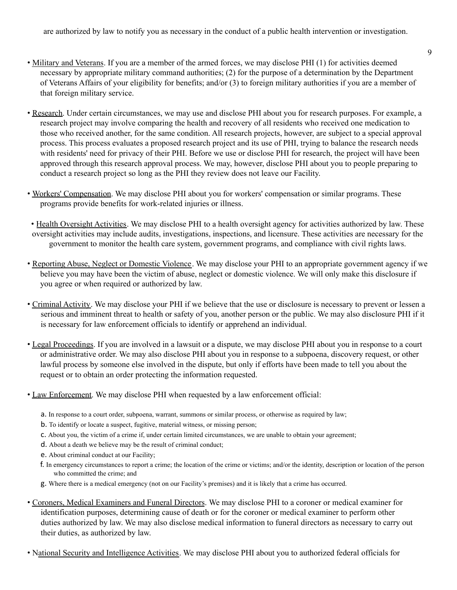are authorized by law to notify you as necessary in the conduct of a public health intervention or investigation.

- 9
- Military and Veterans. If you are a member of the armed forces, we may disclose PHI (1) for activities deemed necessary by appropriate military command authorities; (2) for the purpose of a determination by the Department of Veterans Affairs of your eligibility for benefits; and/or (3) to foreign military authorities if you are a member of that foreign military service.
- Research. Under certain circumstances, we may use and disclose PHI about you for research purposes. For example, a research project may involve comparing the health and recovery of all residents who received one medication to those who received another, for the same condition. All research projects, however, are subject to a special approval process. This process evaluates a proposed research project and its use of PHI, trying to balance the research needs with residents' need for privacy of their PHI. Before we use or disclose PHI for research, the project will have been approved through this research approval process. We may, however, disclose PHI about you to people preparing to conduct a research project so long as the PHI they review does not leave our Facility.
- Workers' Compensation. We may disclose PHI about you for workers' compensation or similar programs. These programs provide benefits for work-related injuries or illness.
- Health Oversight Activities. We may disclose PHI to a health oversight agency for activities authorized by law. These oversight activities may include audits, investigations, inspections, and licensure. These activities are necessary for the government to monitor the health care system, government programs, and compliance with civil rights laws.
- Reporting Abuse, Neglect or Domestic Violence. We may disclose your PHI to an appropriate government agency if we believe you may have been the victim of abuse, neglect or domestic violence. We will only make this disclosure if you agree or when required or authorized by law.
- Criminal Activity. We may disclose your PHI if we believe that the use or disclosure is necessary to prevent or lessen a serious and imminent threat to health or safety of you, another person or the public. We may also disclosure PHI if it is necessary for law enforcement officials to identify or apprehend an individual.
- Legal Proceedings. If you are involved in a lawsuit or a dispute, we may disclose PHI about you in response to a court or administrative order. We may also disclose PHI about you in response to a subpoena, discovery request, or other lawful process by someone else involved in the dispute, but only if efforts have been made to tell you about the request or to obtain an order protecting the information requested.
- Law Enforcement. We may disclose PHI when requested by a law enforcement official:
	- a. In response to a court order, subpoena, warrant, summons or similar process, or otherwise as required by law;
	- b. To identify or locate a suspect, fugitive, material witness, or missing person;
	- c. About you, the victim of a crime if, under certain limited circumstances, we are unable to obtain your agreement;
	- d. About a death we believe may be the result of criminal conduct;
	- e. About criminal conduct at our Facility;
	- f. In emergency circumstances to report a crime; the location of the crime or victims; and/or the identity, description or location of the person who committed the crime; and
	- g. Where there is a medical emergency (not on our Facility's premises) and it is likely that a crime has occurred.
- Coroners, Medical Examiners and Funeral Directors. We may disclose PHI to a coroner or medical examiner for identification purposes, determining cause of death or for the coroner or medical examiner to perform other duties authorized by law. We may also disclose medical information to funeral directors as necessary to carry out their duties, as authorized by law.
- National Security and Intelligence Activities. We may disclose PHI about you to authorized federal officials for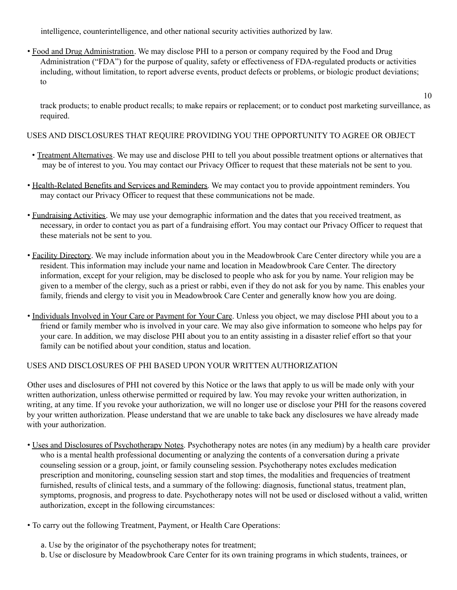intelligence, counterintelligence, and other national security activities authorized by law.

• Food and Drug Administration. We may disclose PHI to a person or company required by the Food and Drug Administration ("FDA") for the purpose of quality, safety or effectiveness of FDA-regulated products or activities including, without limitation, to report adverse events, product defects or problems, or biologic product deviations; to

track products; to enable product recalls; to make repairs or replacement; or to conduct post marketing surveillance, as required.

10

USES AND DISCLOSURES THAT REQUIRE PROVIDING YOU THE OPPORTUNITY TO AGREE OR OBJECT

- Treatment Alternatives. We may use and disclose PHI to tell you about possible treatment options or alternatives that may be of interest to you. You may contact our Privacy Officer to request that these materials not be sent to you.
- Health-Related Benefits and Services and Reminders. We may contact you to provide appointment reminders. You may contact our Privacy Officer to request that these communications not be made.
- Fundraising Activities. We may use your demographic information and the dates that you received treatment, as necessary, in order to contact you as part of a fundraising effort. You may contact our Privacy Officer to request that these materials not be sent to you.
- Facility Directory. We may include information about you in the Meadowbrook Care Center directory while you are a resident. This information may include your name and location in Meadowbrook Care Center. The directory information, except for your religion, may be disclosed to people who ask for you by name. Your religion may be given to a member of the clergy, such as a priest or rabbi, even if they do not ask for you by name. This enables your family, friends and clergy to visit you in Meadowbrook Care Center and generally know how you are doing.
- Individuals Involved in Your Care or Payment for Your Care. Unless you object, we may disclose PHI about you to a friend or family member who is involved in your care. We may also give information to someone who helps pay for your care. In addition, we may disclose PHI about you to an entity assisting in a disaster relief effort so that your family can be notified about your condition, status and location.

# USES AND DISCLOSURES OF PHI BASED UPON YOUR WRITTEN AUTHORIZATION

Other uses and disclosures of PHI not covered by this Notice or the laws that apply to us will be made only with your written authorization, unless otherwise permitted or required by law. You may revoke your written authorization, in writing, at any time. If you revoke your authorization, we will no longer use or disclose your PHI for the reasons covered by your written authorization. Please understand that we are unable to take back any disclosures we have already made with your authorization.

- Uses and Disclosures of Psychotherapy Notes. Psychotherapy notes are notes (in any medium) by a health care provider who is a mental health professional documenting or analyzing the contents of a conversation during a private counseling session or a group, joint, or family counseling session. Psychotherapy notes excludes medication prescription and monitoring, counseling session start and stop times, the modalities and frequencies of treatment furnished, results of clinical tests, and a summary of the following: diagnosis, functional status, treatment plan, symptoms, prognosis, and progress to date. Psychotherapy notes will not be used or disclosed without a valid, written authorization, except in the following circumstances:
- To carry out the following Treatment, Payment, or Health Care Operations:
	- a. Use by the originator of the psychotherapy notes for treatment;
	- b. Use or disclosure by Meadowbrook Care Center for its own training programs in which students, trainees, or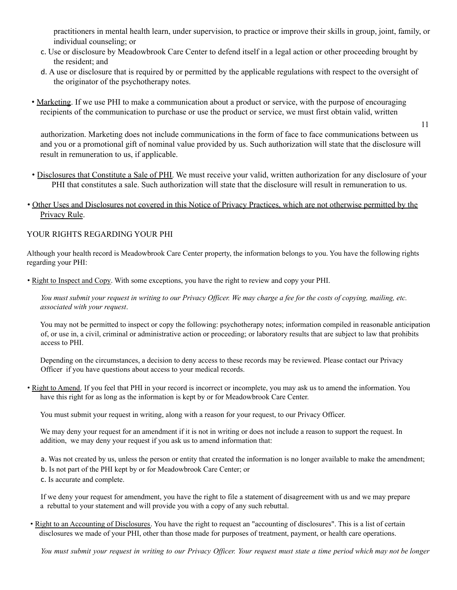practitioners in mental health learn, under supervision, to practice or improve their skills in group, joint, family, or individual counseling; or

- c. Use or disclosure by Meadowbrook Care Center to defend itself in a legal action or other proceeding brought by the resident; and
- d. A use or disclosure that is required by or permitted by the applicable regulations with respect to the oversight of the originator of the psychotherapy notes.
- Marketing. If we use PHI to make a communication about a product or service, with the purpose of encouraging recipients of the communication to purchase or use the product or service, we must first obtain valid, written

11

authorization. Marketing does not include communications in the form of face to face communications between us and you or a promotional gift of nominal value provided by us. Such authorization will state that the disclosure will result in remuneration to us, if applicable.

- Disclosures that Constitute a Sale of PHI. We must receive your valid, written authorization for any disclosure of your PHI that constitutes a sale. Such authorization will state that the disclosure will result in remuneration to us.
- Other Uses and Disclosures not covered in this Notice of Privacy Practices, which are not otherwise permitted by the Privacy Rule.

### YOUR RIGHTS REGARDING YOUR PHI

Although your health record is Meadowbrook Care Center property, the information belongs to you. You have the following rights regarding your PHI:

• Right to Inspect and Copy. With some exceptions, you have the right to review and copy your PHI.

You must submit your request in writing to our Privacy Officer. We may charge a fee for the costs of copying, mailing, etc. *associated with your request*.

You may not be permitted to inspect or copy the following: psychotherapy notes; information compiled in reasonable anticipation of, or use in, a civil, criminal or administrative action or proceeding; or laboratory results that are subject to law that prohibits access to PHI.

Depending on the circumstances, a decision to deny access to these records may be reviewed. Please contact our Privacy Officer if you have questions about access to your medical records.

• Right to Amend. If you feel that PHI in your record is incorrect or incomplete, you may ask us to amend the information. You have this right for as long as the information is kept by or for Meadowbrook Care Center.

You must submit your request in writing, along with a reason for your request, to our Privacy Officer.

We may deny your request for an amendment if it is not in writing or does not include a reason to support the request. In addition, we may deny your request if you ask us to amend information that:

a. Was not created by us, unless the person or entity that created the information is no longer available to make the amendment;

b. Is not part of the PHI kept by or for Meadowbrook Care Center; or

c. Is accurate and complete.

If we deny your request for amendment, you have the right to file a statement of disagreement with us and we may prepare a rebuttal to your statement and will provide you with a copy of any such rebuttal.

• Right to an Accounting of Disclosures. You have the right to request an "accounting of disclosures". This is a list of certain disclosures we made of your PHI, other than those made for purposes of treatment, payment, or health care operations.

You must submit your request in writing to our Privacy Officer. Your request must state a time period which may not be longer